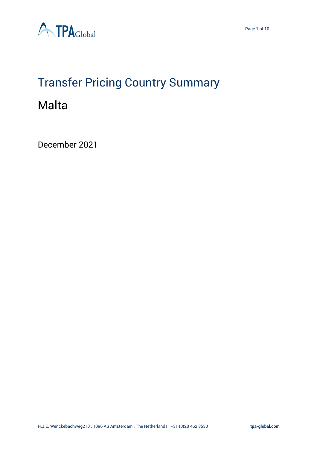

# Transfer Pricing Country Summary

# Malta

December 2021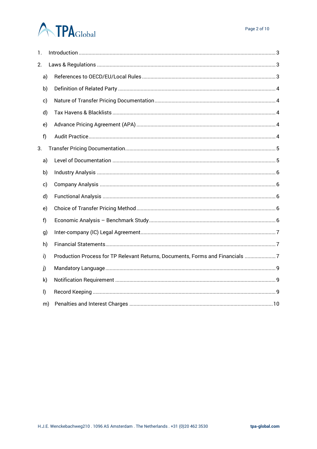# **ATPA**Global

| 1. |         |                                                                               |
|----|---------|-------------------------------------------------------------------------------|
| 2. |         |                                                                               |
|    | a)      |                                                                               |
|    | b)      |                                                                               |
|    | c)      |                                                                               |
|    | d)      |                                                                               |
|    | e)      |                                                                               |
|    | f)      |                                                                               |
| 3. |         |                                                                               |
|    | a)      |                                                                               |
|    | b)      |                                                                               |
|    | c)      |                                                                               |
|    | d)      |                                                                               |
|    | e)      |                                                                               |
|    | f       |                                                                               |
|    | g)      |                                                                               |
|    | h)      |                                                                               |
|    | i)      | Production Process for TP Relevant Returns, Documents, Forms and Financials 7 |
|    | j)      |                                                                               |
|    | k)      |                                                                               |
|    | $\vert$ |                                                                               |
|    | m)      |                                                                               |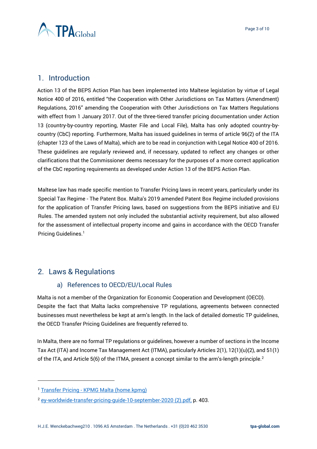

# <span id="page-2-0"></span>1. Introduction

Action 13 of the BEPS Action Plan has been implemented into Maltese legislation by virtue of Legal Notice 400 of 2016, entitled "the Cooperation with Other Jurisdictions on Tax Matters (Amendment) Regulations, 2016" amending the Cooperation with Other Jurisdictions on Tax Matters Regulations with effect from 1 January 2017. Out of the three-tiered transfer pricing documentation under Action 13 (country-by-country reporting, Master File and Local File), Malta has only adopted country-bycountry (CbC) reporting. Furthermore, Malta has issued guidelines in terms of article 96(2) of the ITA (chapter 123 of the Laws of Malta), which are to be read in conjunction with Legal Notice 400 of 2016. These guidelines are regularly reviewed and, if necessary, updated to reflect any changes or other clarifications that the Commissioner deems necessary for the purposes of a more correct application of the CbC reporting requirements as developed under Action 13 of the BEPS Action Plan.

Maltese law has made specific mention to Transfer Pricing laws in recent years, particularly under its Special Tax Regime - The Patent Box. Malta's 2019 amended Patent Box Regime included provisions for the application of Transfer Pricing laws, based on suggestions from the BEPS initiative and EU Rules. The amended system not only included the substantial activity requirement, but also allowed for the assessment of intellectual property income and gains in accordance with the OECD Transfer Pricing Guidelines.<sup>1</sup>

# <span id="page-2-2"></span><span id="page-2-1"></span>2. Laws & Regulations

### a) References to OECD/EU/Local Rules

Malta is not a member of the Organization for Economic Cooperation and Development (OECD). Despite the fact that Malta lacks comprehensive TP regulations, agreements between connected businesses must nevertheless be kept at arm's length. In the lack of detailed domestic TP guidelines, the OECD Transfer Pricing Guidelines are frequently referred to.

In Malta, there are no formal TP regulations or guidelines, however a number of sections in the Income Tax Act (ITA) and Income Tax Management Act (ITMA), particularly Articles 2(1), 12(1)(u)(2), and 51(1) of the ITA, and Article 5(6) of the ITMA, present a concept similar to the arm's-length principle.<sup>2</sup>

<sup>1</sup> Transfer Pricing - [KPMG Malta \(home.kpmg\)](https://home.kpmg/mt/en/home/insights/2021/04/transfer-pricing.html)

<sup>2</sup> [ey-worldwide-transfer-pricing-guide-10-september-2020 \(2\).pdf,](file:///C:/Users/m.pereira/OneDrive%20-%20TPA%20Global/Country%20Summary/ey-worldwide-transfer-pricing-guide-10-september-2020%20(2).pdf) p. 403.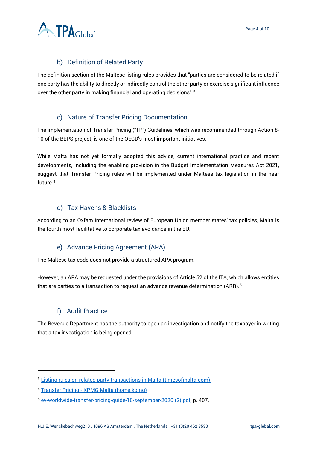

# b) Definition of Related Party

<span id="page-3-0"></span>The definition section of the Maltese listing rules provides that "parties are considered to be related if one party has the ability to directly or indirectly control the other party or exercise significant influence over the other party in making financial and operating decisions".<sup>3</sup>

### c) Nature of Transfer Pricing Documentation

<span id="page-3-1"></span>The implementation of Transfer Pricing ("TP") Guidelines, which was recommended through Action 8- 10 of the BEPS project, is one of the OECD's most important initiatives.

While Malta has not yet formally adopted this advice, current international practice and recent developments, including the enabling provision in the Budget Implementation Measures Act 2021, suggest that Transfer Pricing rules will be implemented under Maltese tax legislation in the near future.<sup>4</sup>

#### d) Tax Havens & Blacklists

<span id="page-3-2"></span>According to an Oxfam International review of European Union member states' tax policies, Malta is the fourth most facilitative to corporate tax avoidance in the EU.

### e) Advance Pricing Agreement (APA)

<span id="page-3-3"></span>The Maltese tax code does not provide a structured APA program.

However, an APA may be requested under the provisions of Article 52 of the ITA, which allows entities that are parties to a transaction to request an advance revenue determination (ARR).<sup>5</sup>

### f) Audit Practice

<span id="page-3-4"></span>The Revenue Department has the authority to open an investigation and notify the taxpayer in writing that a tax investigation is being opened.

<sup>&</sup>lt;sup>3</sup> [Listing rules on related party transactions in Malta \(timesofmalta.com\)](https://timesofmalta.com/articles/view/listing-rules-on-related-party-transactions-in-malta.179549#:~:text=The%20definition%20section%20of%20the%20Maltese%20listing%20rules,other%20party%20in%20making%20financial%20and%20operating%20decisions%22.)

<sup>4</sup> Transfer Pricing - [KPMG Malta \(home.kpmg\)](https://home.kpmg/mt/en/home/insights/2021/04/transfer-pricing.html)

<sup>5</sup> [ey-worldwide-transfer-pricing-guide-10-september-2020 \(2\).pdf,](file:///C:/Users/m.pereira/OneDrive%20-%20TPA%20Global/Country%20Summary/ey-worldwide-transfer-pricing-guide-10-september-2020%20(2).pdf) p. 407.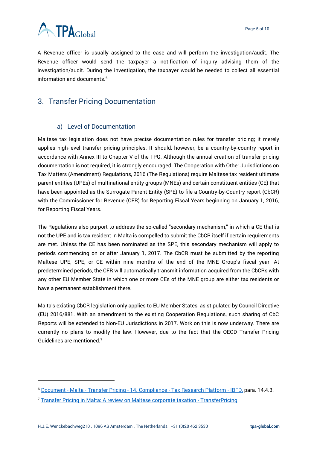

A Revenue officer is usually assigned to the case and will perform the investigation/audit. The Revenue officer would send the taxpayer a notification of inquiry advising them of the investigation/audit. During the investigation, the taxpayer would be needed to collect all essential information and documents.<sup>6</sup>

# <span id="page-4-0"></span>3. Transfer Pricing Documentation

#### a) Level of Documentation

<span id="page-4-1"></span>Maltese tax legislation does not have precise documentation rules for transfer pricing; it merely applies high-level transfer pricing principles. It should, however, be a country-by-country report in accordance with Annex III to Chapter V of the TPG. Although the annual creation of transfer pricing documentation is not required, it is strongly encouraged. The Cooperation with Other Jurisdictions on Tax Matters (Amendment) Regulations, 2016 (The Regulations) require Maltese tax resident ultimate parent entities (UPEs) of multinational entity groups (MNEs) and certain constituent entities (CE) that have been appointed as the Surrogate Parent Entity (SPE) to file a Country-by-Country report (CbCR) with the Commissioner for Revenue (CFR) for Reporting Fiscal Years beginning on January 1, 2016, for Reporting Fiscal Years.

The Regulations also purport to address the so-called "secondary mechanism," in which a CE that is not the UPE and is tax resident in Malta is compelled to submit the CbCR itself if certain requirements are met. Unless the CE has been nominated as the SPE, this secondary mechanism will apply to periods commencing on or after January 1, 2017. The CbCR must be submitted by the reporting Maltese UPE, SPE, or CE within nine months of the end of the MNE Group's fiscal year. At predetermined periods, the CFR will automatically transmit information acquired from the CbCRs with any other EU Member State in which one or more CEs of the MNE group are either tax residents or have a permanent establishment there.

Malta's existing CbCR legislation only applies to EU Member States, as stipulated by Council Directive (EU) 2016/881. With an amendment to the existing Cooperation Regulations, such sharing of CbC Reports will be extended to Non-EU Jurisdictions in 2017. Work on this is now underway. There are currently no plans to modify the law. However, due to the fact that the OECD Transfer Pricing Guidelines are mentioned.<sup>7</sup>

<sup>6</sup> Document - Malta - Transfer Pricing - 14. Compliance - [Tax Research Platform -](https://research.ibfd.org/#/doc?url=/linkresolver/static/tp_mt_s_14.4.&refresh=1640353371078%23tp_mt_s_14.4.) IBFD, para. 14.4.3.

<sup>7</sup> [Transfer Pricing in Malta: A review on Maltese corporate taxation -](https://transferpricing.com.cy/transfer-pricing-malta-review-maltese-corporate-taxation/#:~:text=Transfer%20pricing%20requirements%20As%20already%20mentioned%2C%20there%20are,5%20%287%29%20of%20the%20ITMA%20%28introduced%20in%201994%29.) TransferPricing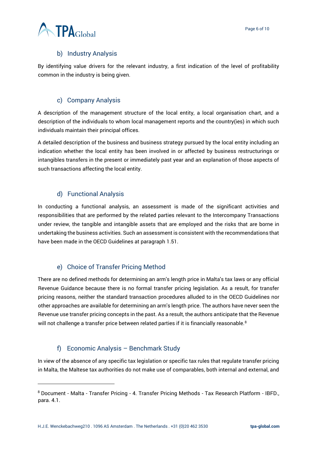# b) Industry Analysis

<span id="page-5-0"></span>By identifying value drivers for the relevant industry, a first indication of the level of profitability common in the industry is being given.

### c) Company Analysis

<span id="page-5-1"></span>A description of the management structure of the local entity, a local organisation chart, and a description of the individuals to whom local management reports and the country(ies) in which such individuals maintain their principal offices.

A detailed description of the business and business strategy pursued by the local entity including an indication whether the local entity has been involved in or affected by business restructurings or intangibles transfers in the present or immediately past year and an explanation of those aspects of such transactions affecting the local entity.

### d) Functional Analysis

<span id="page-5-2"></span>In conducting a functional analysis, an assessment is made of the significant activities and responsibilities that are performed by the related parties relevant to the Intercompany Transactions under review, the tangible and intangible assets that are employed and the risks that are borne in undertaking the business activities. Such an assessment is consistent with the recommendations that have been made in the OECD Guidelines at paragraph 1.51.

### e) Choice of Transfer Pricing Method

<span id="page-5-3"></span>There are no defined methods for determining an arm's length price in Malta's tax laws or any official Revenue Guidance because there is no formal transfer pricing legislation. As a result, for transfer pricing reasons, neither the standard transaction procedures alluded to in the OECD Guidelines nor other approaches are available for determining an arm's length price. The authors have never seen the Revenue use transfer pricing concepts in the past. As a result, the authors anticipate that the Revenue will not challenge a transfer price between related parties if it is financially reasonable.<sup>8</sup>

### f) Economic Analysis – Benchmark Study

<span id="page-5-4"></span>In view of the absence of any specific tax legislation or specific tax rules that regulate transfer pricing in Malta, the Maltese tax authorities do not make use of comparables, both internal and external, and

<sup>8</sup> Document - Malta - Transfer Pricing - 4. Transfer Pricing Methods - Tax Research Platform - IBFD., para. 4.1.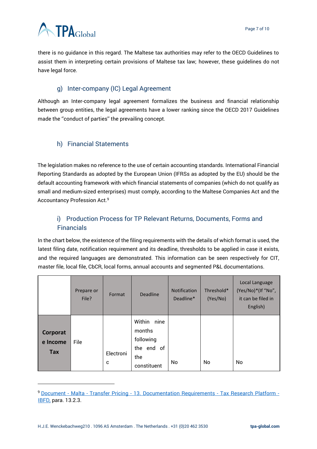

there is no guidance in this regard. The Maltese tax authorities may refer to the OECD Guidelines to assist them in interpreting certain provisions of Maltese tax law; however, these guidelines do not have legal force.

# g) Inter-company (IC) Legal Agreement

<span id="page-6-0"></span>Although an Inter-company legal agreement formalizes the business and financial relationship between group entities, the legal agreements have a lower ranking since the OECD 2017 Guidelines made the ''conduct of parties'' the prevailing concept.

# <span id="page-6-1"></span>h) Financial Statements

The legislation makes no reference to the use of certain accounting standards. International Financial Reporting Standards as adopted by the European Union (IFRSs as adopted by the EU) should be the default accounting framework with which financial statements of companies (which do not qualify as small and medium-sized enterprises) must comply, according to the Maltese Companies Act and the Accountancy Profession Act.<sup>9</sup>

# <span id="page-6-2"></span>i) Production Process for TP Relevant Returns, Documents, Forms and Financials

In the chart below, the existence of the filing requirements with the details of which format is used, the latest filing date, notification requirement and its deadline, thresholds to be applied in case it exists, and the required languages are demonstrated. This information can be seen respectively for CIT, master file, local file, CbCR, local forms, annual accounts and segmented P&L documentations.

|                             | Prepare or<br>File? | Format         | <b>Deadline</b>                                                           | <b>Notification</b><br>Deadline* | Threshold*<br>(Yes/No) | Local Language<br>(Yes/No)*(If "No",<br>it can be filed in<br>English) |
|-----------------------------|---------------------|----------------|---------------------------------------------------------------------------|----------------------------------|------------------------|------------------------------------------------------------------------|
| Corporat<br>e Income<br>Tax | File                | Electroni<br>c | nine<br>Within<br>months<br>following<br>the end of<br>the<br>constituent | No                               | No                     | No                                                                     |

<sup>9</sup> Document - Malta - Transfer Pricing - [13. Documentation Requirements -](https://research.ibfd.org/#/doc?url=/linkresolver/static/tp_mt_s_13.&refresh=1640348427850%23tp_mt_s_13.) Tax Research Platform - [IBFD,](https://research.ibfd.org/#/doc?url=/linkresolver/static/tp_mt_s_13.&refresh=1640348427850%23tp_mt_s_13.) para. 13.2.3.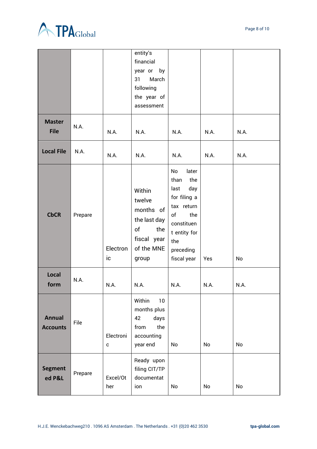



|                                  |         |                           | entity's<br>financial<br>year or<br>by<br>March<br>31<br>following<br>the year of<br>assessment  |                                                                                                                                                       |      |      |
|----------------------------------|---------|---------------------------|--------------------------------------------------------------------------------------------------|-------------------------------------------------------------------------------------------------------------------------------------------------------|------|------|
| <b>Master</b><br><b>File</b>     | N.A.    | N.A.                      | N.A.                                                                                             | N.A.                                                                                                                                                  | N.A. | N.A. |
| <b>Local File</b>                | N.A.    | N.A.                      | N.A.                                                                                             | N.A.                                                                                                                                                  | N.A. | N.A. |
| <b>CbCR</b>                      | Prepare | Electron<br>ic            | Within<br>twelve<br>months of<br>the last day<br>of<br>the<br>fiscal year<br>of the MNE<br>group | No<br>later<br>the<br>than<br>day<br>last<br>for filing a<br>tax return<br>of<br>the<br>constituen<br>t entity for<br>the<br>preceding<br>fiscal year | Yes  | No   |
| Local<br>form                    | N.A.    | N.A.                      | N.A.                                                                                             | N.A.                                                                                                                                                  | N.A. | N.A. |
| <b>Annual</b><br><b>Accounts</b> | File    | Electroni<br>$\mathbf{C}$ | Within<br>$10\,$<br>months plus<br>days<br>42<br>from<br>the<br>accounting<br>year end           | No                                                                                                                                                    | No   | No   |
| <b>Segment</b><br>ed P&L         | Prepare | Excel/Ot<br>her           | Ready upon<br>filing CIT/TP<br>documentat<br>ion                                                 | No                                                                                                                                                    | No   | No   |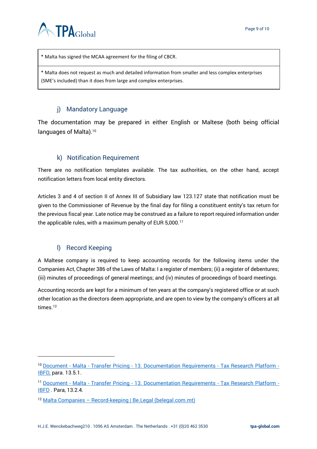

\* Malta has signed the MCAA agreement for the filing of CBCR.

\* Malta does not request as much and detailed information from smaller and less complex enterprises (SME's included) than it does from large and complex enterprises.

# j) Mandatory Language

<span id="page-8-0"></span>The documentation may be prepared in either English or Maltese (both being official languages of Malta).<sup>10</sup>

# k) Notification Requirement

<span id="page-8-1"></span>There are no notification templates available. The tax authorities, on the other hand, accept notification letters from local entity directors.

Articles 3 and 4 of section II of Annex III of Subsidiary law 123.127 state that notification must be given to the Commissioner of Revenue by the final day for filing a constituent entity's tax return for the previous fiscal year. Late notice may be construed as a failure to report required information under the applicable rules, with a maximum penalty of EUR  $5,000$ .<sup>11</sup>

### l) Record Keeping

<span id="page-8-2"></span>A Maltese company is required to keep accounting records for the following items under the Companies Act, Chapter 386 of the Laws of Malta: I a register of members; (ii) a register of debentures; (iii) minutes of proceedings of general meetings; and (iv) minutes of proceedings of board meetings.

Accounting records are kept for a minimum of ten years at the company's registered office or at such other location as the directors deem appropriate, and are open to view by the company's officers at all times.<sup>12</sup>

<sup>10</sup> Document - Malta - Transfer Pricing - [13. Documentation Requirements -](https://research.ibfd.org/#/doc?url=/linkresolver/static/tp_mt_s_13.&refresh=1640348427850%23tp_mt_s_13.) Tax Research Platform -[IBFD,](https://research.ibfd.org/#/doc?url=/linkresolver/static/tp_mt_s_13.&refresh=1640348427850%23tp_mt_s_13.) para. 13.5.1.

<sup>11</sup> Document - Malta - Transfer Pricing - [13. Documentation Requirements -](https://research.ibfd.org/#/doc?url=/linkresolver/static/tp_mt_s_13.&refresh=1640348427850%23tp_mt_s_13.) Tax Research Platform - **[IBFD](https://research.ibfd.org/#/doc?url=/linkresolver/static/tp_mt_s_13.&refresh=1640348427850%23tp_mt_s_13.)** . Para, 13.2.4.

<sup>12</sup> Malta Companies – [Record-keeping | Be.Legal \(belegal.com.mt\)](https://belegal.com.mt/malta-law-articles/record-keeping-obligations/)